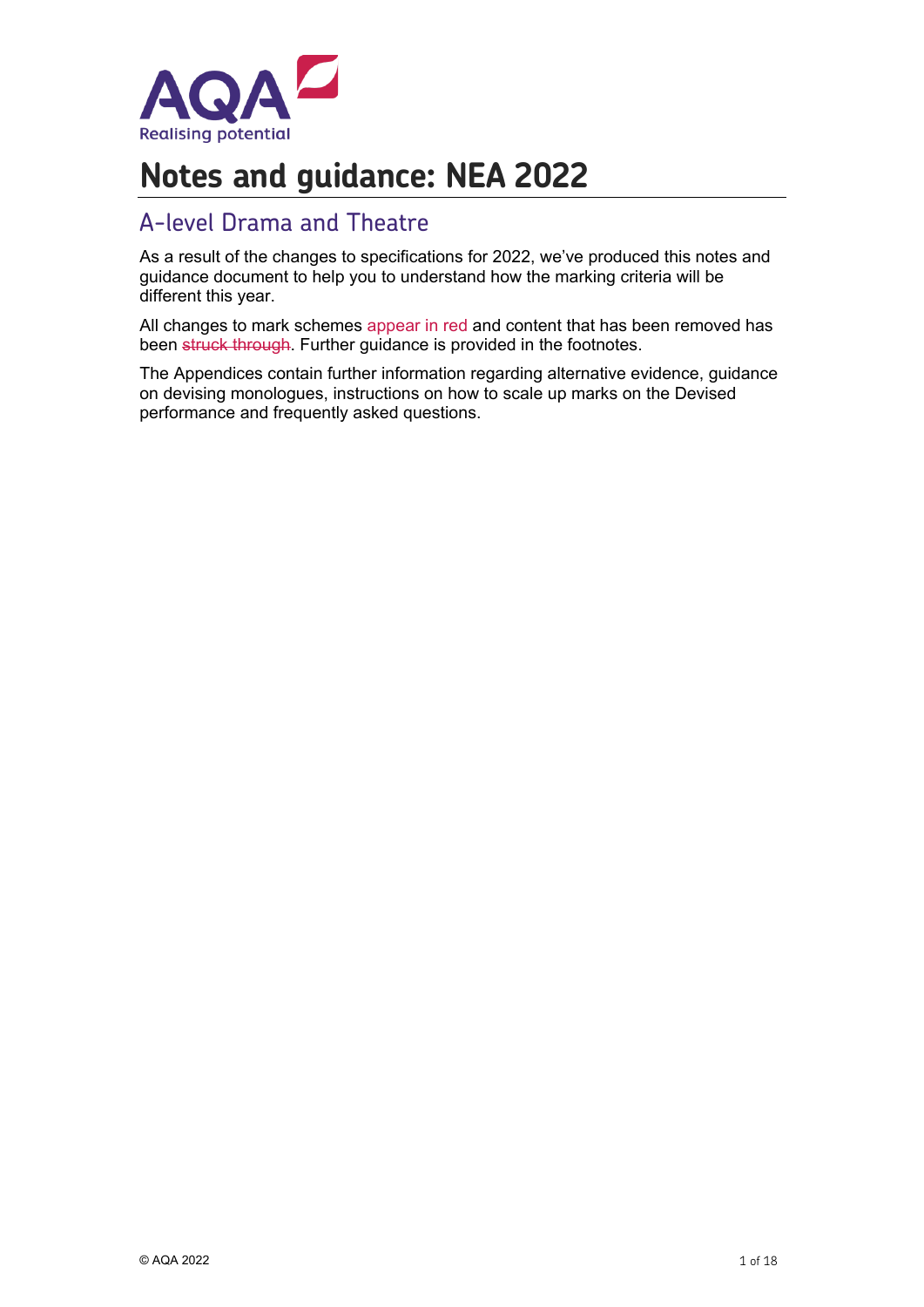

# **Notes and guidance: NEA 2022**

### A-level Drama and Theatre

As a result of the changes to specifications for 2022, we've produced this notes and guidance document to help you to understand how the marking criteria will be different this year.

All changes to mark schemes appear in red and content that has been removed has been struck through. Further guidance is provided in the footnotes.

The Appendices contain further information regarding alternative evidence, guidance on devising monologues, instructions on how to scale up marks on the Devised performance and frequently asked questions.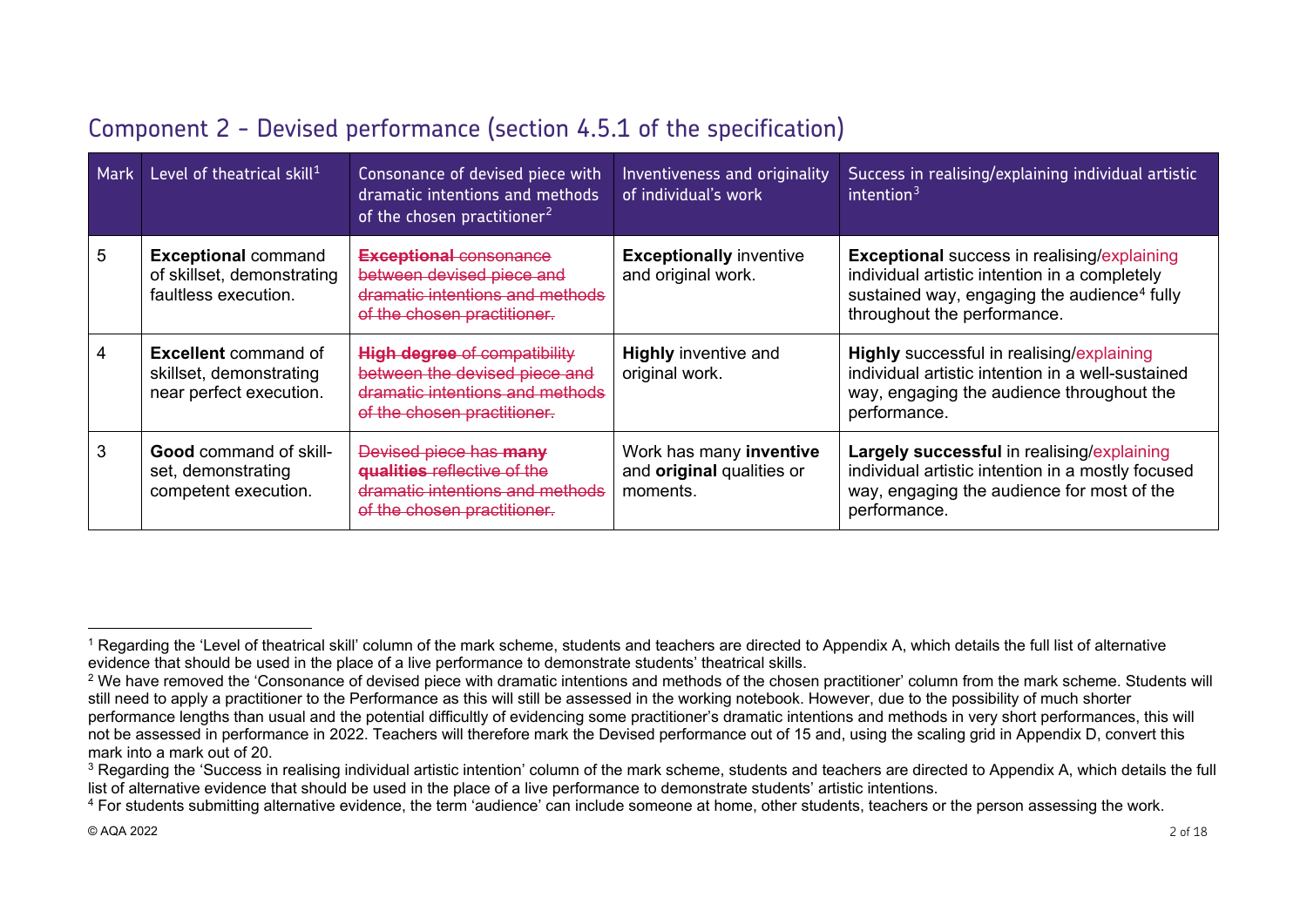| <b>Mark</b> | Level of theatrical skill <sup>1</sup>                                            | Consonance of devised piece with<br>dramatic intentions and methods<br>of the chosen practitioner <sup>2</sup>                         | Inventiveness and originality<br>of individual's work            | Success in realising/explaining individual artistic<br>intention $3$                                                                                                                          |
|-------------|-----------------------------------------------------------------------------------|----------------------------------------------------------------------------------------------------------------------------------------|------------------------------------------------------------------|-----------------------------------------------------------------------------------------------------------------------------------------------------------------------------------------------|
| 5           | <b>Exceptional command</b><br>of skillset, demonstrating<br>faultless execution.  | <b>Exceptional consonance</b><br>between devised piece and<br>dramatic intentions and methods<br>of the chosen practitioner.           | <b>Exceptionally inventive</b><br>and original work.             | <b>Exceptional success in realising/explaining</b><br>individual artistic intention in a completely<br>sustained way, engaging the audience <sup>4</sup> fully<br>throughout the performance. |
|             | <b>Excellent</b> command of<br>skillset, demonstrating<br>near perfect execution. | <b>High degree of compatibility</b><br>between the devised piece and<br>dramatic intentions and methods<br>of the chosen practitioner. | <b>Highly inventive and</b><br>original work.                    | Highly successful in realising/explaining<br>individual artistic intention in a well-sustained<br>way, engaging the audience throughout the<br>performance.                                   |
| 3           | <b>Good</b> command of skill-<br>set, demonstrating<br>competent execution.       | Devised piece has many<br>qualities reflective of the<br>dramatic intentions and methods<br>of the chosen practitioner.                | Work has many inventive<br>and original qualities or<br>moments. | Largely successful in realising/explaining<br>individual artistic intention in a mostly focused<br>way, engaging the audience for most of the<br>performance.                                 |

# <span id="page-1-3"></span><span id="page-1-2"></span><span id="page-1-1"></span><span id="page-1-0"></span>Component 2 - Devised performance (section 4.5.1 of the specification)

<sup>&</sup>lt;sup>1</sup> Regarding the 'Level of theatrical skill' column of the mark scheme, students and teachers are directed to Appendix A, which details the full list of alternative evidence that should be used in the place of a live performance to demonstrate students' theatrical skills.

<sup>&</sup>lt;sup>2</sup> We have removed the 'Consonance of devised piece with dramatic intentions and methods of the chosen practitioner' column from the mark scheme. Students will still need to apply a practitioner to the Performance as this will still be assessed in the working notebook. However, due to the possibility of much shorter performance lengths than usual and the potential difficultly of evidencing some practitioner's dramatic intentions and methods in very short performances, this will not be assessed in performance in 2022. Teachers will therefore mark the Devised performance out of 15 and, using the scaling grid in Appendix D, convert this mark into a mark out of 20.

<sup>&</sup>lt;sup>3</sup> Regarding the 'Success in realising individual artistic intention' column of the mark scheme, students and teachers are directed to Appendix A, which details the full list of alternative evidence that should be used in the place of a live performance to demonstrate students' artistic intentions.

<sup>&</sup>lt;sup>4</sup> For students submitting alternative evidence, the term 'audience' can include someone at home, other students, teachers or the person assessing the work.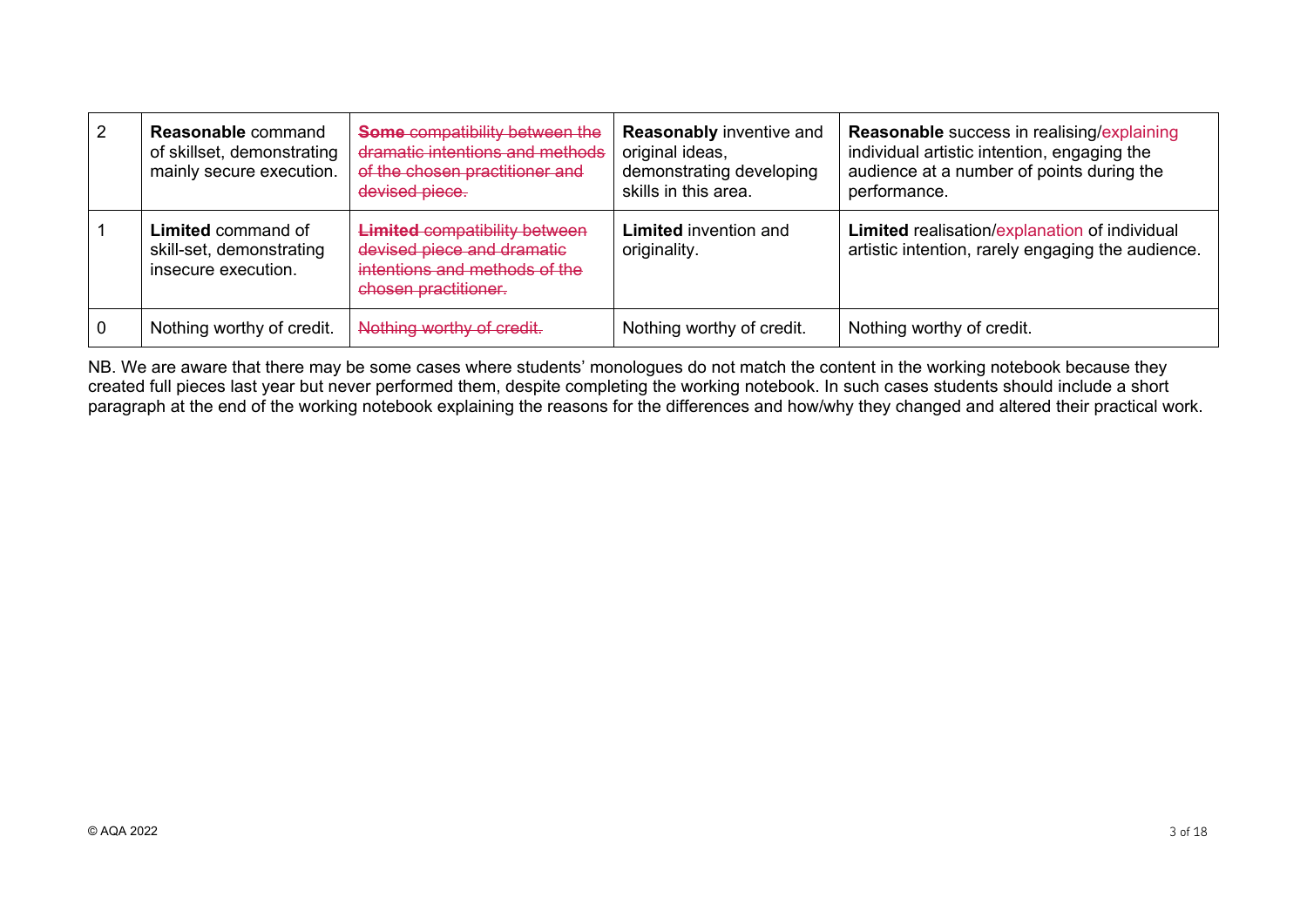| $\overline{2}$ | <b>Reasonable command</b><br>of skillset, demonstrating<br>mainly secure execution. | <b>Some compatibility between the</b><br>dramatic intentions and methods<br>of the chosen practitioner and<br>devised piece. | <b>Reasonably inventive and</b><br>original ideas,<br>demonstrating developing<br>skills in this area. | <b>Reasonable</b> success in realising/explaining<br>individual artistic intention, engaging the<br>audience at a number of points during the<br>performance. |
|----------------|-------------------------------------------------------------------------------------|------------------------------------------------------------------------------------------------------------------------------|--------------------------------------------------------------------------------------------------------|---------------------------------------------------------------------------------------------------------------------------------------------------------------|
|                | <b>Limited command of</b><br>skill-set, demonstrating<br>insecure execution.        | <b>Limited compatibility between</b><br>devised piece and dramatic<br>intentions and methods of the<br>chosen practitioner.  | <b>Limited</b> invention and<br>originality.                                                           | Limited realisation/explanation of individual<br>artistic intention, rarely engaging the audience.                                                            |
| l 0            | Nothing worthy of credit.                                                           | Nothing worthy of credit.                                                                                                    | Nothing worthy of credit.                                                                              | Nothing worthy of credit.                                                                                                                                     |

NB. We are aware that there may be some cases where students' monologues do not match the content in the working notebook because they created full pieces last year but never performed them, despite completing the working notebook. In such cases students should include a short paragraph at the end of the working notebook explaining the reasons for the differences and how/why they changed and altered their practical work.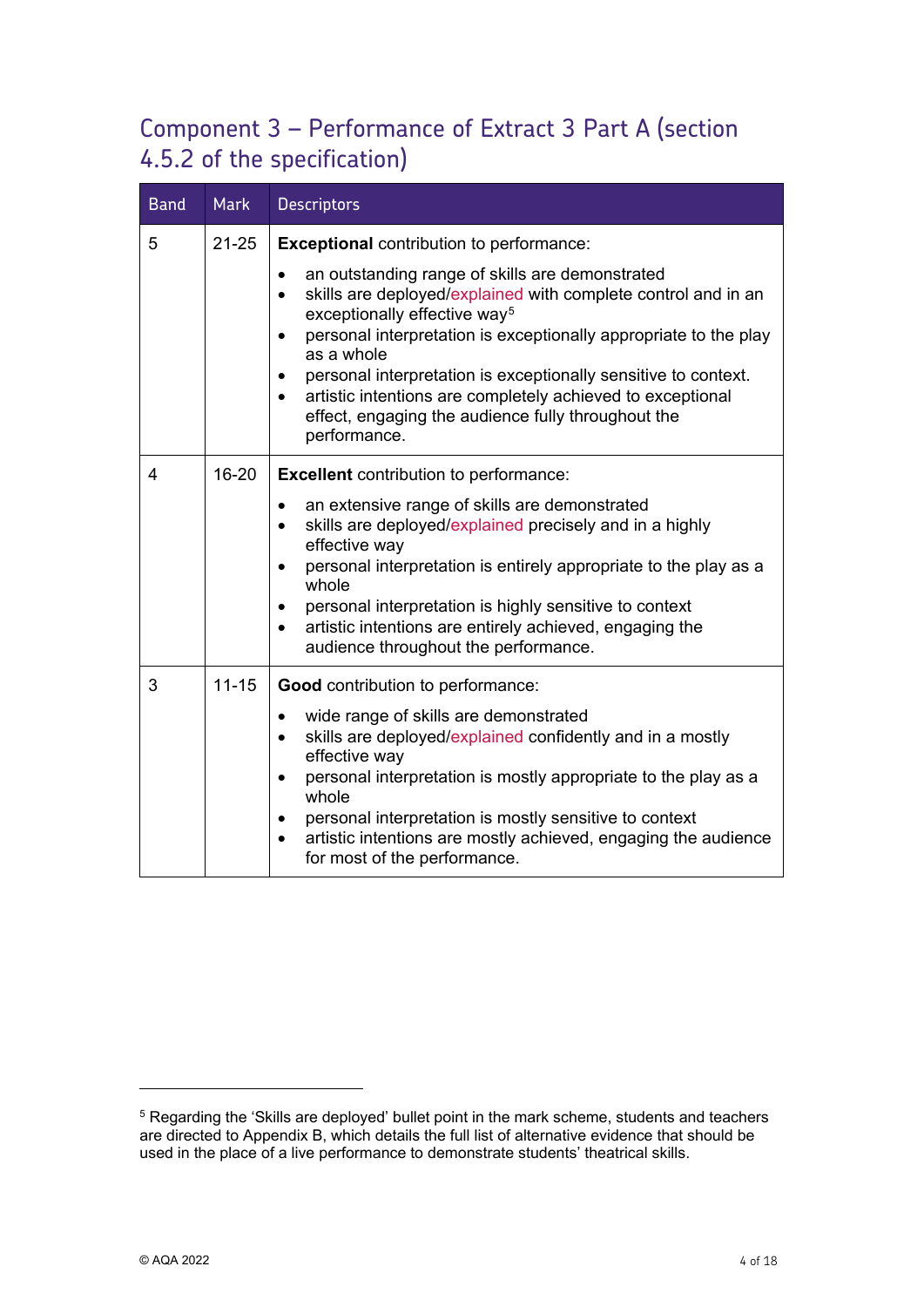# Component 3 – Performance of Extract 3 Part A (section 4.5.2 of the specification)

| <b>Band</b>    | <b>Mark</b> | <b>Descriptors</b>                                                                                                                                                                                                                                                                                                                                                                                                                                                                                       |  |
|----------------|-------------|----------------------------------------------------------------------------------------------------------------------------------------------------------------------------------------------------------------------------------------------------------------------------------------------------------------------------------------------------------------------------------------------------------------------------------------------------------------------------------------------------------|--|
| 5              | $21 - 25$   | <b>Exceptional</b> contribution to performance:                                                                                                                                                                                                                                                                                                                                                                                                                                                          |  |
|                |             | an outstanding range of skills are demonstrated<br>$\bullet$<br>skills are deployed/explained with complete control and in an<br>$\bullet$<br>exceptionally effective way <sup>5</sup><br>personal interpretation is exceptionally appropriate to the play<br>$\bullet$<br>as a whole<br>personal interpretation is exceptionally sensitive to context.<br>$\bullet$<br>artistic intentions are completely achieved to exceptional<br>effect, engaging the audience fully throughout the<br>performance. |  |
| $\overline{4}$ | 16-20       | <b>Excellent</b> contribution to performance:                                                                                                                                                                                                                                                                                                                                                                                                                                                            |  |
|                |             | an extensive range of skills are demonstrated<br>$\bullet$<br>skills are deployed/explained precisely and in a highly<br>$\bullet$<br>effective way<br>personal interpretation is entirely appropriate to the play as a<br>$\bullet$<br>whole<br>personal interpretation is highly sensitive to context<br>٠<br>artistic intentions are entirely achieved, engaging the<br>$\bullet$<br>audience throughout the performance.                                                                             |  |
| 3              | $11 - 15$   | <b>Good</b> contribution to performance:                                                                                                                                                                                                                                                                                                                                                                                                                                                                 |  |
|                |             | wide range of skills are demonstrated<br>$\bullet$<br>skills are deployed/explained confidently and in a mostly<br>$\bullet$<br>effective way<br>personal interpretation is mostly appropriate to the play as a<br>$\bullet$<br>whole<br>personal interpretation is mostly sensitive to context<br>artistic intentions are mostly achieved, engaging the audience<br>for most of the performance.                                                                                                        |  |

-

<span id="page-3-0"></span><sup>5</sup> Regarding the 'Skills are deployed' bullet point in the mark scheme, students and teachers are directed to Appendix B, which details the full list of alternative evidence that should be used in the place of a live performance to demonstrate students' theatrical skills.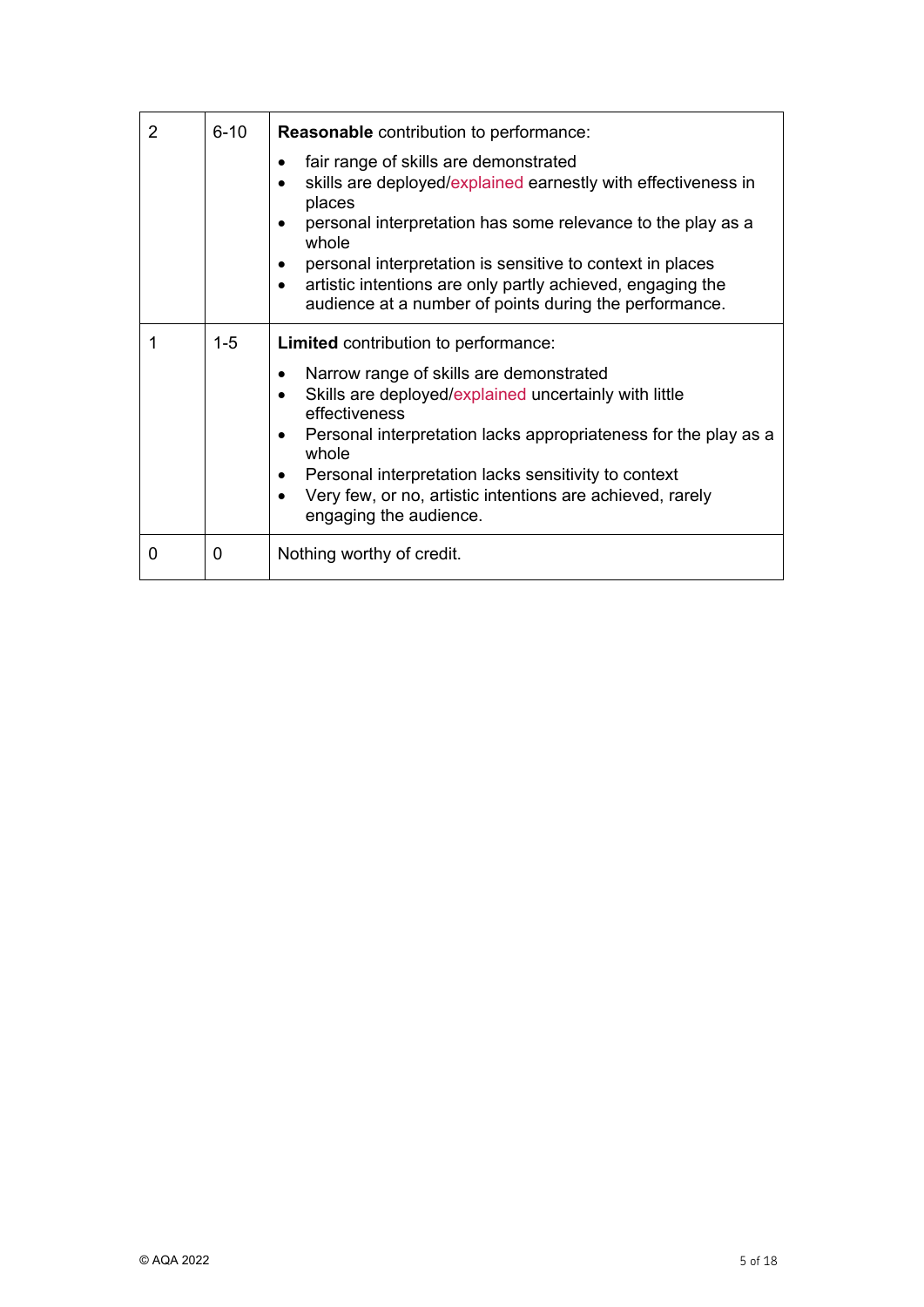| 2 | $6 - 10$ | <b>Reasonable</b> contribution to performance:                                                                                                                                                                                                                                                                                                                                                                                                       |  |
|---|----------|------------------------------------------------------------------------------------------------------------------------------------------------------------------------------------------------------------------------------------------------------------------------------------------------------------------------------------------------------------------------------------------------------------------------------------------------------|--|
|   |          | fair range of skills are demonstrated<br>$\bullet$<br>skills are deployed/explained earnestly with effectiveness in<br>places<br>personal interpretation has some relevance to the play as a<br>٠<br>whole<br>personal interpretation is sensitive to context in places<br>artistic intentions are only partly achieved, engaging the<br>$\bullet$<br>audience at a number of points during the performance.                                         |  |
|   | $1 - 5$  | <b>Limited</b> contribution to performance:<br>Narrow range of skills are demonstrated<br>٠<br>Skills are deployed/explained uncertainly with little<br>$\bullet$<br>effectiveness<br>Personal interpretation lacks appropriateness for the play as a<br>$\bullet$<br>whole<br>Personal interpretation lacks sensitivity to context<br>$\bullet$<br>Very few, or no, artistic intentions are achieved, rarely<br>$\bullet$<br>engaging the audience. |  |
| 0 | 0        | Nothing worthy of credit.                                                                                                                                                                                                                                                                                                                                                                                                                            |  |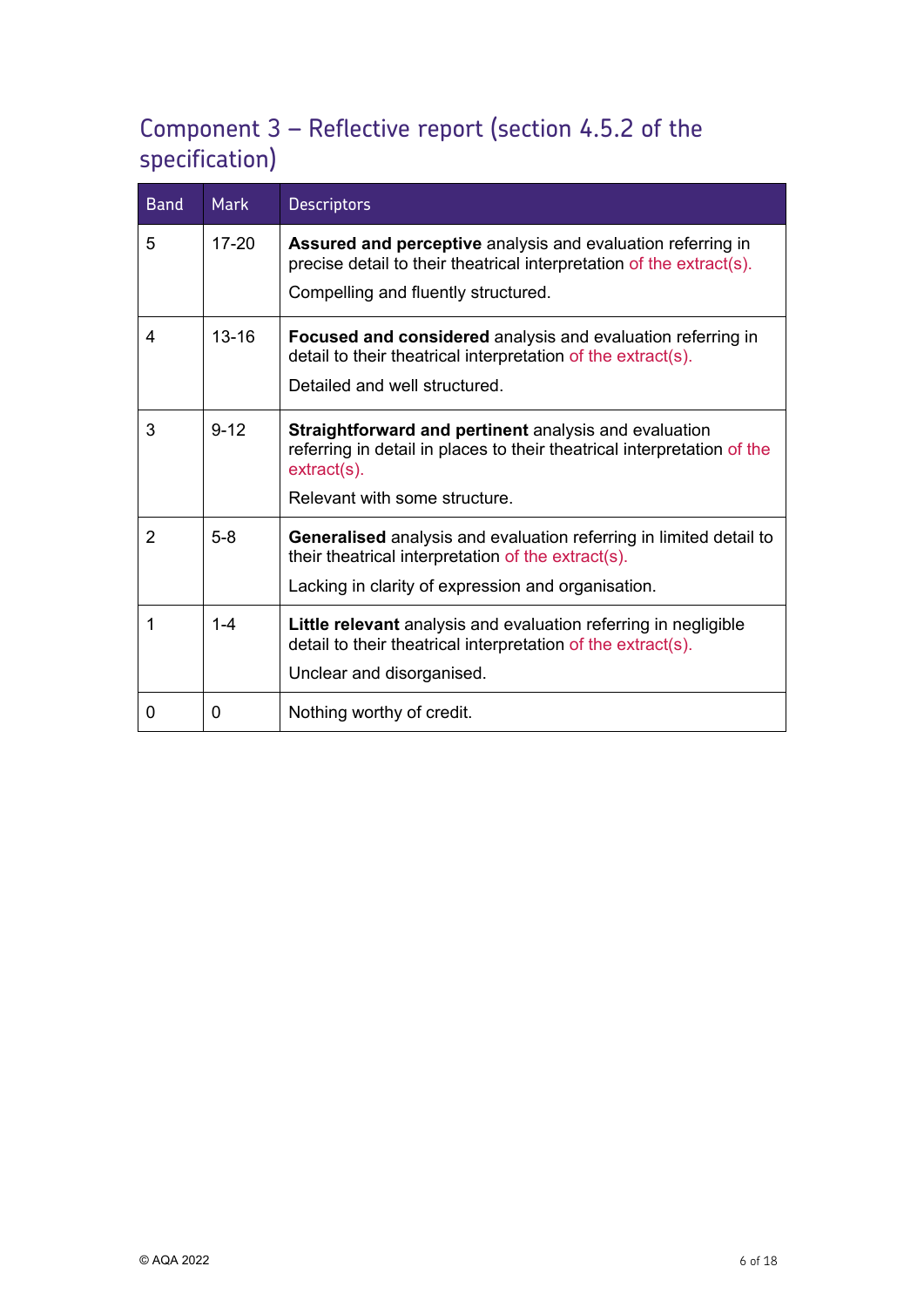# Component 3 – Reflective report (section 4.5.2 of the specification)

| <b>Band</b>    | <b>Mark</b> | <b>Descriptors</b>                                                                                                                                           |
|----------------|-------------|--------------------------------------------------------------------------------------------------------------------------------------------------------------|
| 5              | $17 - 20$   | Assured and perceptive analysis and evaluation referring in<br>precise detail to their theatrical interpretation of the extract(s).                          |
|                |             | Compelling and fluently structured.                                                                                                                          |
| 4              | $13 - 16$   | <b>Focused and considered</b> analysis and evaluation referring in<br>detail to their theatrical interpretation of the extract(s).                           |
|                |             | Detailed and well structured.                                                                                                                                |
| 3              | $9 - 12$    | <b>Straightforward and pertinent analysis and evaluation</b><br>referring in detail in places to their theatrical interpretation of the<br>$extract(s)$ .    |
|                |             | Relevant with some structure.                                                                                                                                |
| $\overline{2}$ | $5-8$       | <b>Generalised</b> analysis and evaluation referring in limited detail to<br>their theatrical interpretation of the extract(s).                              |
|                |             | Lacking in clarity of expression and organisation.                                                                                                           |
| 1              | $1 - 4$     | Little relevant analysis and evaluation referring in negligible<br>detail to their theatrical interpretation of the extract(s).<br>Unclear and disorganised. |
| 0              | 0           | Nothing worthy of credit.                                                                                                                                    |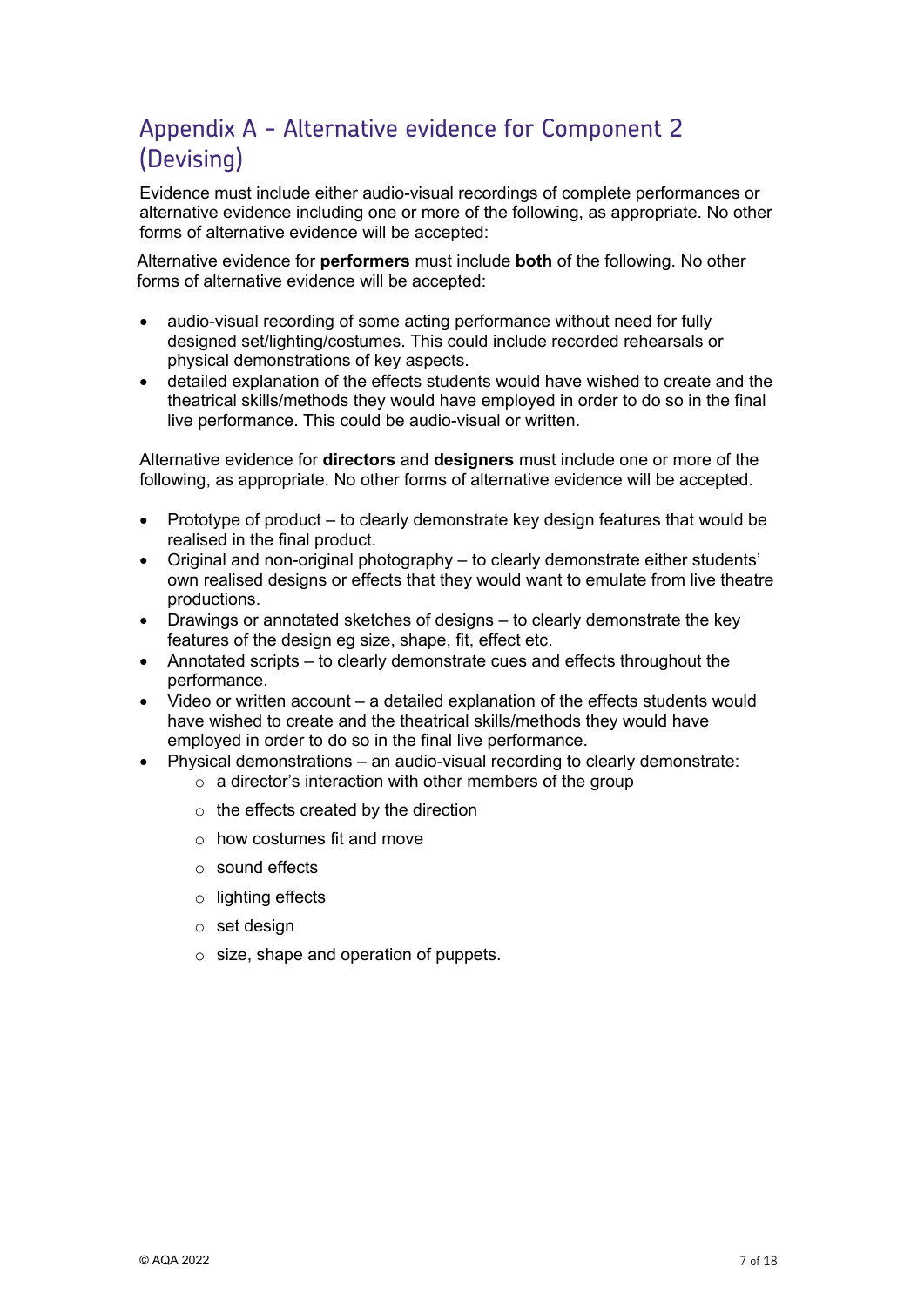# Appendix A - Alternative evidence for Component 2 (Devising)

Evidence must include either audio-visual recordings of complete performances or alternative evidence including one or more of the following, as appropriate. No other forms of alternative evidence will be accepted:

Alternative evidence for **performers** must include **both** of the following. No other forms of alternative evidence will be accepted:

- audio-visual recording of some acting performance without need for fully designed set/lighting/costumes. This could include recorded rehearsals or physical demonstrations of key aspects.
- detailed explanation of the effects students would have wished to create and the theatrical skills/methods they would have employed in order to do so in the final live performance. This could be audio-visual or written.

Alternative evidence for **directors** and **designers** must include one or more of the following, as appropriate. No other forms of alternative evidence will be accepted.

- Prototype of product to clearly demonstrate key design features that would be realised in the final product.
- Original and non-original photography to clearly demonstrate either students' own realised designs or effects that they would want to emulate from live theatre productions.
- Drawings or annotated sketches of designs to clearly demonstrate the key features of the design eg size, shape, fit, effect etc.
- Annotated scripts to clearly demonstrate cues and effects throughout the performance.
- Video or written account a detailed explanation of the effects students would have wished to create and the theatrical skills/methods they would have employed in order to do so in the final live performance.
- Physical demonstrations an audio-visual recording to clearly demonstrate:  $\circ$  a director's interaction with other members of the group
	- $\circ$  the effects created by the direction
	- o how costumes fit and move
	- o sound effects
	- o lighting effects
	- o set design
	- $\circ$  size, shape and operation of puppets.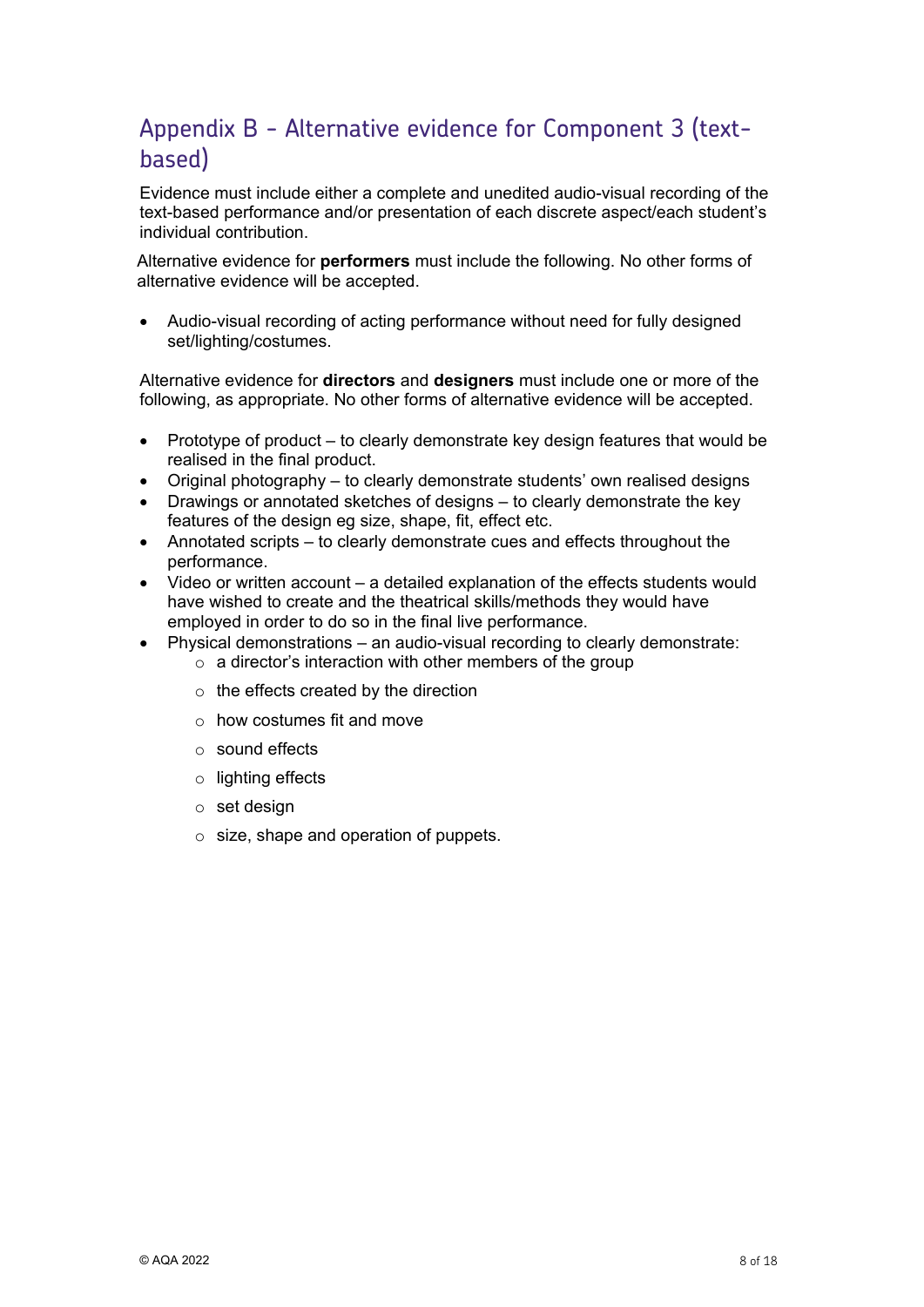### Appendix B - Alternative evidence for Component 3 (textbased)

Evidence must include either a complete and unedited audio-visual recording of the text-based performance and/or presentation of each discrete aspect/each student's individual contribution.

Alternative evidence for **performers** must include the following. No other forms of alternative evidence will be accepted.

• Audio-visual recording of acting performance without need for fully designed set/lighting/costumes.

Alternative evidence for **directors** and **designers** must include one or more of the following, as appropriate. No other forms of alternative evidence will be accepted.

- Prototype of product to clearly demonstrate key design features that would be realised in the final product.
- Original photography to clearly demonstrate students' own realised designs
- Drawings or annotated sketches of designs to clearly demonstrate the key features of the design eg size, shape, fit, effect etc.
- Annotated scripts to clearly demonstrate cues and effects throughout the performance.
- Video or written account a detailed explanation of the effects students would have wished to create and the theatrical skills/methods they would have employed in order to do so in the final live performance.
- Physical demonstrations an audio-visual recording to clearly demonstrate:
	- $\circ$  a director's interaction with other members of the group
	- $\circ$  the effects created by the direction
	- $\circ$  how costumes fit and move
	- o sound effects
	- o lighting effects
	- o set design
	- $\circ$  size, shape and operation of puppets.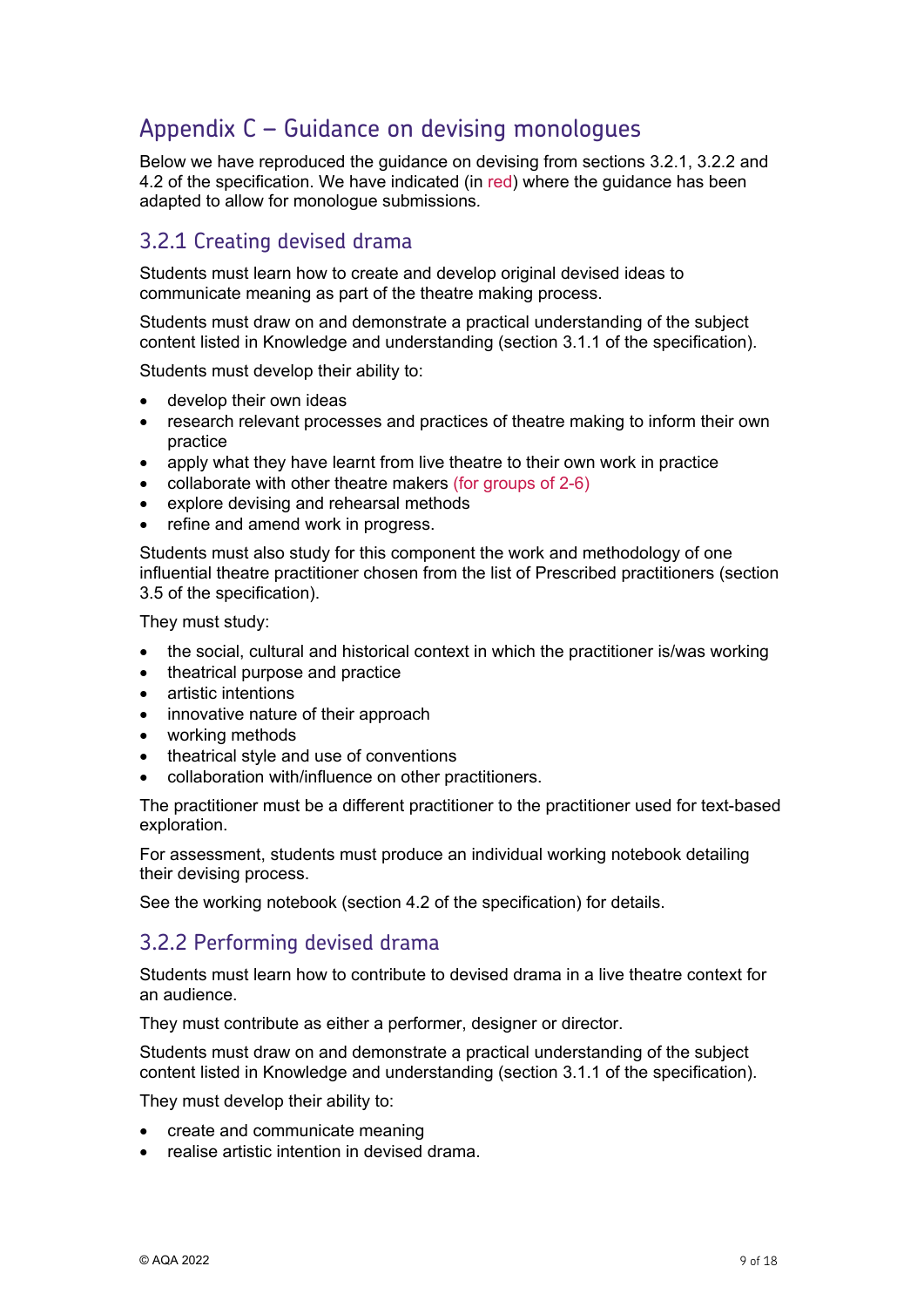### Appendix C – Guidance on devising monologues

Below we have reproduced the guidance on devising from sections 3.2.1, 3.2.2 and 4.2 of the specification. We have indicated (in red) where the guidance has been adapted to allow for monologue submissions*.*

### 3.2.1 Creating devised drama

Students must learn how to create and develop original devised ideas to communicate meaning as part of the theatre making process.

Students must draw on and demonstrate a practical understanding of the subject content listed in Knowledge and understanding (section 3.1.1 of the specification).

Students must develop their ability to:

- develop their own ideas
- research relevant processes and practices of theatre making to inform their own practice
- apply what they have learnt from live theatre to their own work in practice
- collaborate with other theatre makers (for groups of 2-6)
- explore devising and rehearsal methods
- refine and amend work in progress.

Students must also study for this component the work and methodology of one influential theatre practitioner chosen from the list of Prescribed practitioners (section 3.5 of the specification).

They must study:

- the social, cultural and historical context in which the practitioner is/was working
- theatrical purpose and practice
- artistic intentions
- innovative nature of their approach
- working methods
- theatrical style and use of conventions
- collaboration with/influence on other practitioners.

The practitioner must be a different practitioner to the practitioner used for text-based exploration.

For assessment, students must produce an individual working notebook detailing their devising process.

See the working notebook (section 4.2 of the specification) for details.

### 3.2.2 Performing devised drama

Students must learn how to contribute to devised drama in a live theatre context for an audience.

They must contribute as either a performer, designer or director.

Students must draw on and demonstrate a practical understanding of the subject content listed in Knowledge and understanding (section 3.1.1 of the specification).

They must develop their ability to:

- create and communicate meaning
- realise artistic intention in devised drama.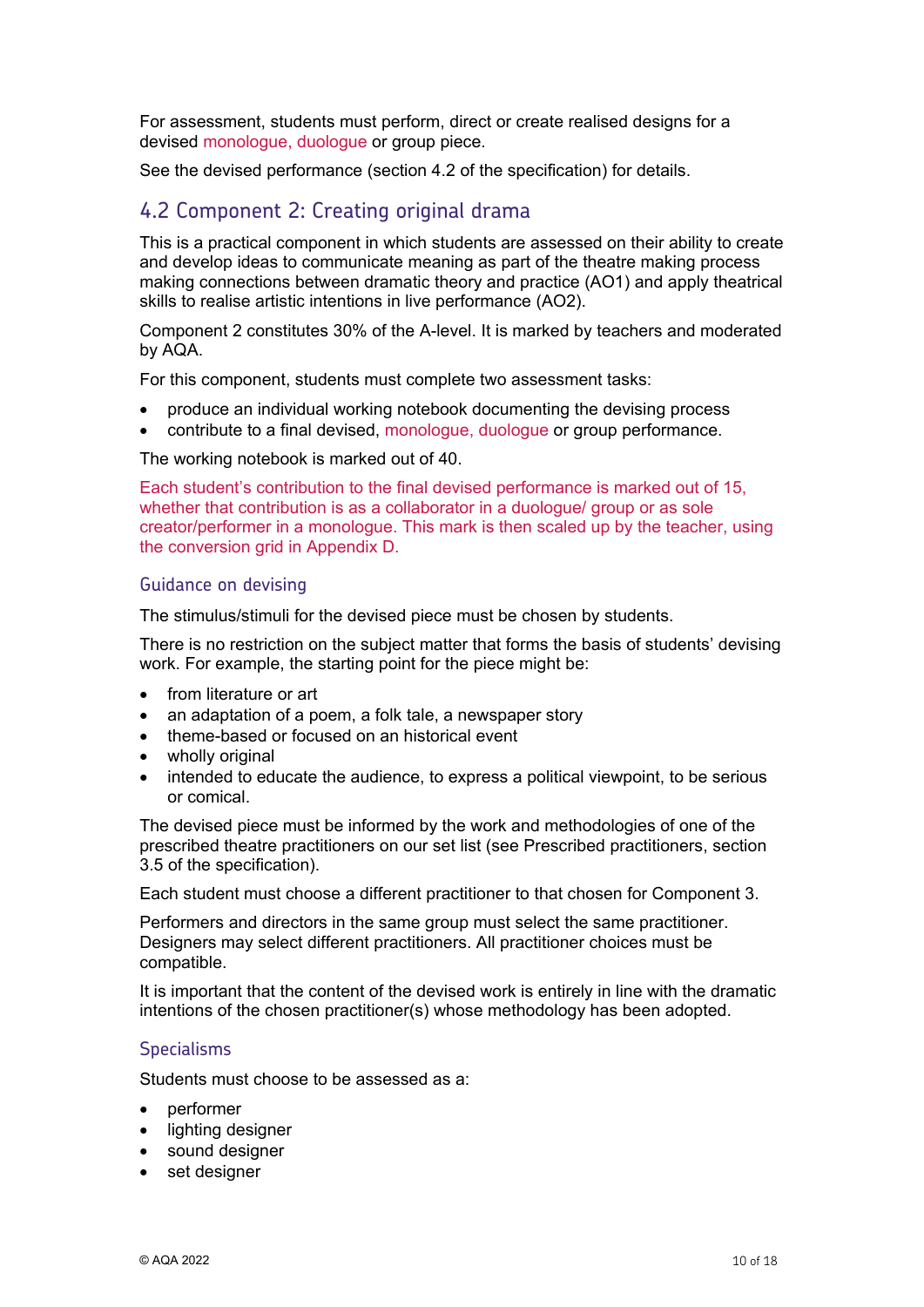For assessment, students must perform, direct or create realised designs for a devised monologue, duologue or group piece.

See the devised performance (section 4.2 of the specification) for details.

### 4.2 Component 2: Creating original drama

This is a practical component in which students are assessed on their ability to create and develop ideas to communicate meaning as part of the theatre making process making connections between dramatic theory and practice (AO1) and apply theatrical skills to realise artistic intentions in live performance (AO2).

Component 2 constitutes 30% of the A-level. It is marked by teachers and moderated by AQA.

For this component, students must complete two assessment tasks:

- produce an individual working notebook documenting the devising process
- contribute to a final devised, monologue, duologue or group performance.

The working notebook is marked out of 40.

Each student's contribution to the final devised performance is marked out of 15, whether that contribution is as a collaborator in a duologue/ group or as sole creator/performer in a monologue. This mark is then scaled up by the teacher, using the conversion grid in Appendix D.

#### Guidance on devising

The stimulus/stimuli for the devised piece must be chosen by students.

There is no restriction on the subject matter that forms the basis of students' devising work. For example, the starting point for the piece might be:

- from literature or art
- an adaptation of a poem, a folk tale, a newspaper story
- theme-based or focused on an historical event
- wholly original
- intended to educate the audience, to express a political viewpoint, to be serious or comical.

The devised piece must be informed by the work and methodologies of one of the prescribed theatre practitioners on our set list (see Prescribed practitioners, section 3.5 of the specification).

Each student must choose a different practitioner to that chosen for Component 3.

Performers and directors in the same group must select the same practitioner. Designers may select different practitioners. All practitioner choices must be compatible.

It is important that the content of the devised work is entirely in line with the dramatic intentions of the chosen practitioner(s) whose methodology has been adopted.

#### **Specialisms**

Students must choose to be assessed as a:

- performer
- lighting designer
- sound designer
- set designer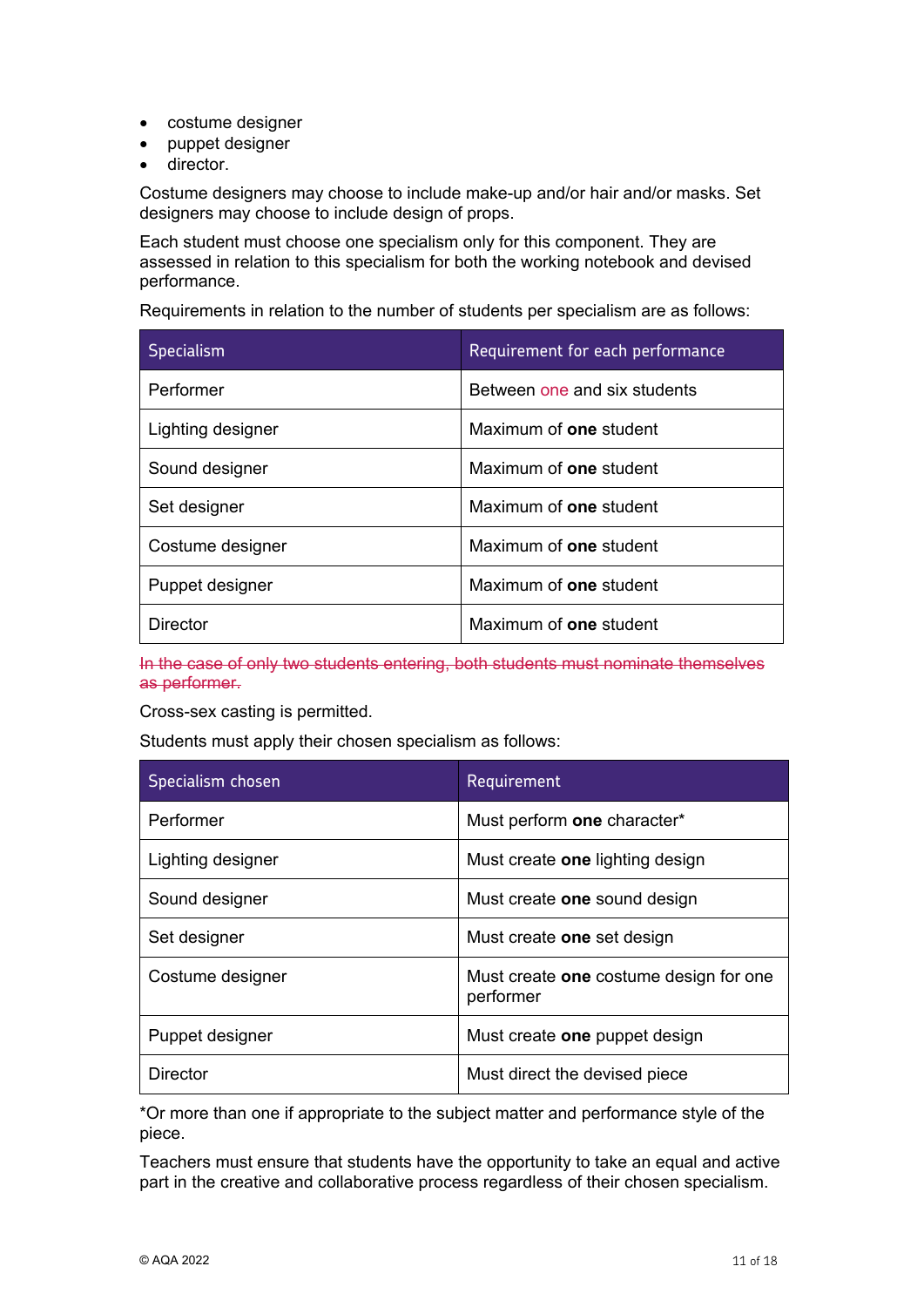- costume designer
- puppet designer
- director.

Costume designers may choose to include make-up and/or hair and/or masks. Set designers may choose to include design of props.

Each student must choose one specialism only for this component. They are assessed in relation to this specialism for both the working notebook and devised performance.

Requirements in relation to the number of students per specialism are as follows:

| <b>Specialism</b> | Requirement for each performance |
|-------------------|----------------------------------|
| Performer         | Between one and six students     |
| Lighting designer | Maximum of <b>one</b> student    |
| Sound designer    | Maximum of <b>one</b> student    |
| Set designer      | Maximum of <b>one</b> student    |
| Costume designer  | Maximum of <b>one</b> student    |
| Puppet designer   | Maximum of <b>one</b> student    |
| Director          | Maximum of one student           |

In the case of only two students entering, both students must nominate themselves as performer.

Cross-sex casting is permitted.

Students must apply their chosen specialism as follows:

| Specialism chosen | Requirement                                         |
|-------------------|-----------------------------------------------------|
| Performer         | Must perform one character*                         |
| Lighting designer | Must create <b>one</b> lighting design              |
| Sound designer    | Must create one sound design                        |
| Set designer      | Must create one set design                          |
| Costume designer  | Must create one costume design for one<br>performer |
| Puppet designer   | Must create one puppet design                       |
| Director          | Must direct the devised piece                       |

\*Or more than one if appropriate to the subject matter and performance style of the piece.

Teachers must ensure that students have the opportunity to take an equal and active part in the creative and collaborative process regardless of their chosen specialism.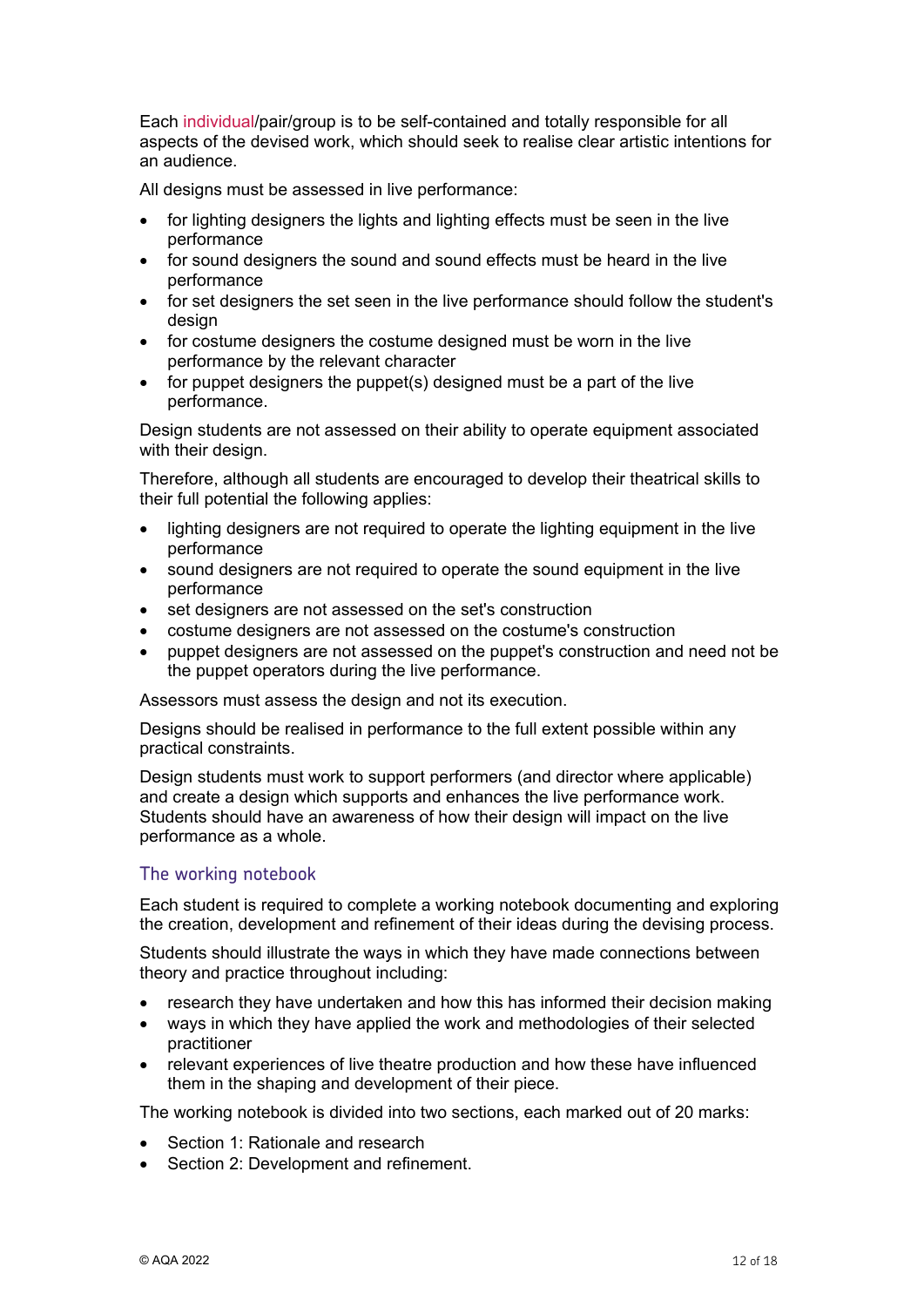Each individual/pair/group is to be self-contained and totally responsible for all aspects of the devised work, which should seek to realise clear artistic intentions for an audience.

All designs must be assessed in live performance:

- for lighting designers the lights and lighting effects must be seen in the live performance
- for sound designers the sound and sound effects must be heard in the live performance
- for set designers the set seen in the live performance should follow the student's design
- for costume designers the costume designed must be worn in the live performance by the relevant character
- for puppet designers the puppet(s) designed must be a part of the live performance.

Design students are not assessed on their ability to operate equipment associated with their design.

Therefore, although all students are encouraged to develop their theatrical skills to their full potential the following applies:

- lighting designers are not required to operate the lighting equipment in the live performance
- sound designers are not required to operate the sound equipment in the live performance
- set designers are not assessed on the set's construction
- costume designers are not assessed on the costume's construction
- puppet designers are not assessed on the puppet's construction and need not be the puppet operators during the live performance.

Assessors must assess the design and not its execution.

Designs should be realised in performance to the full extent possible within any practical constraints.

Design students must work to support performers (and director where applicable) and create a design which supports and enhances the live performance work. Students should have an awareness of how their design will impact on the live performance as a whole.

#### The working notebook

Each student is required to complete a working notebook documenting and exploring the creation, development and refinement of their ideas during the devising process.

Students should illustrate the ways in which they have made connections between theory and practice throughout including:

- research they have undertaken and how this has informed their decision making
- ways in which they have applied the work and methodologies of their selected practitioner
- relevant experiences of live theatre production and how these have influenced them in the shaping and development of their piece.

The working notebook is divided into two sections, each marked out of 20 marks:

- Section 1: Rationale and research
- Section 2: Development and refinement.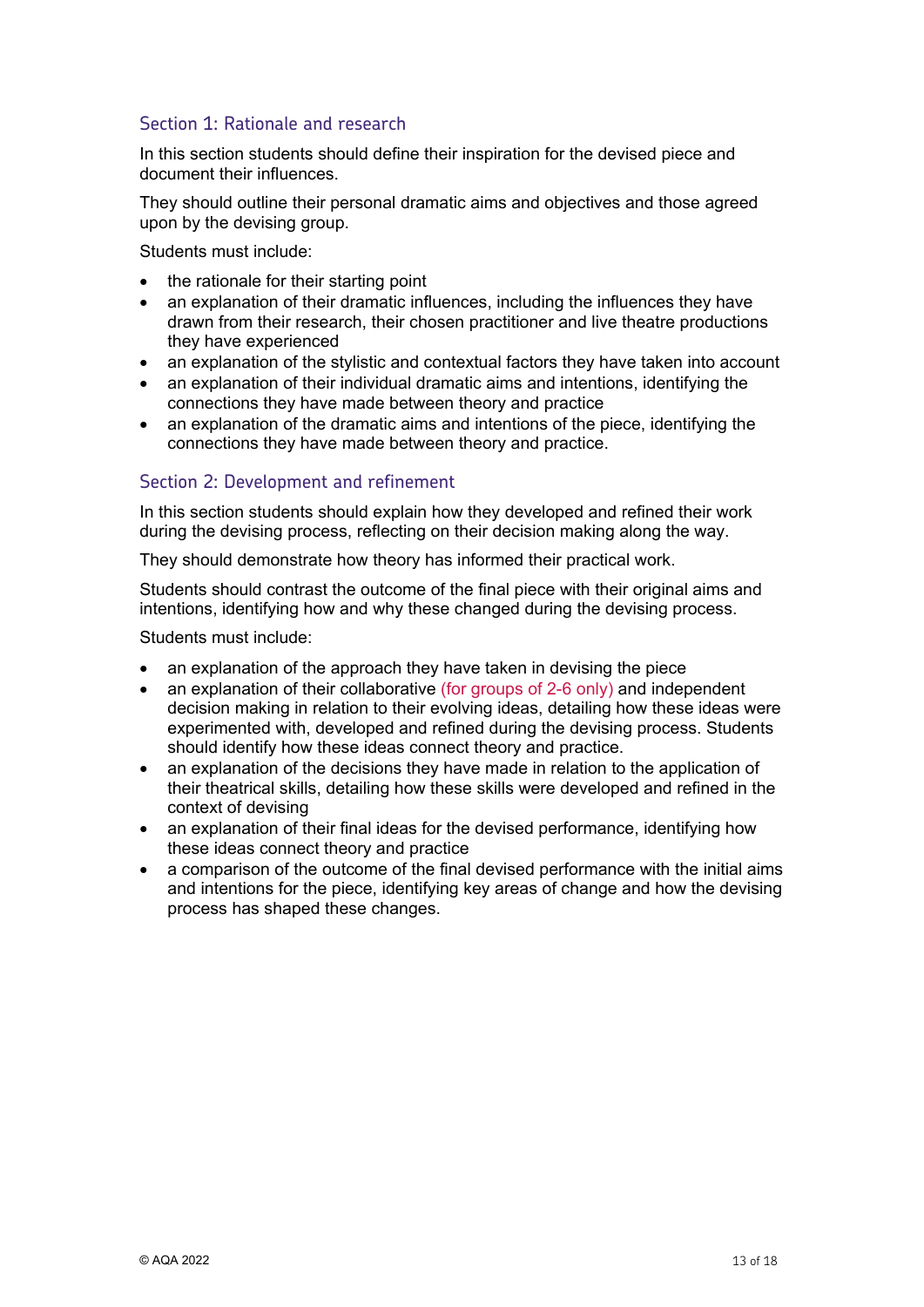### Section 1: Rationale and research

In this section students should define their inspiration for the devised piece and document their influences.

They should outline their personal dramatic aims and objectives and those agreed upon by the devising group.

Students must include:

- the rationale for their starting point
- an explanation of their dramatic influences, including the influences they have drawn from their research, their chosen practitioner and live theatre productions they have experienced
- an explanation of the stylistic and contextual factors they have taken into account
- an explanation of their individual dramatic aims and intentions, identifying the connections they have made between theory and practice
- an explanation of the dramatic aims and intentions of the piece, identifying the connections they have made between theory and practice.

#### Section 2: Development and refinement

In this section students should explain how they developed and refined their work during the devising process, reflecting on their decision making along the way.

They should demonstrate how theory has informed their practical work.

Students should contrast the outcome of the final piece with their original aims and intentions, identifying how and why these changed during the devising process.

Students must include:

- an explanation of the approach they have taken in devising the piece
- an explanation of their collaborative (for groups of 2-6 only) and independent decision making in relation to their evolving ideas, detailing how these ideas were experimented with, developed and refined during the devising process. Students should identify how these ideas connect theory and practice.
- an explanation of the decisions they have made in relation to the application of their theatrical skills, detailing how these skills were developed and refined in the context of devising
- an explanation of their final ideas for the devised performance, identifying how these ideas connect theory and practice
- a comparison of the outcome of the final devised performance with the initial aims and intentions for the piece, identifying key areas of change and how the devising process has shaped these changes.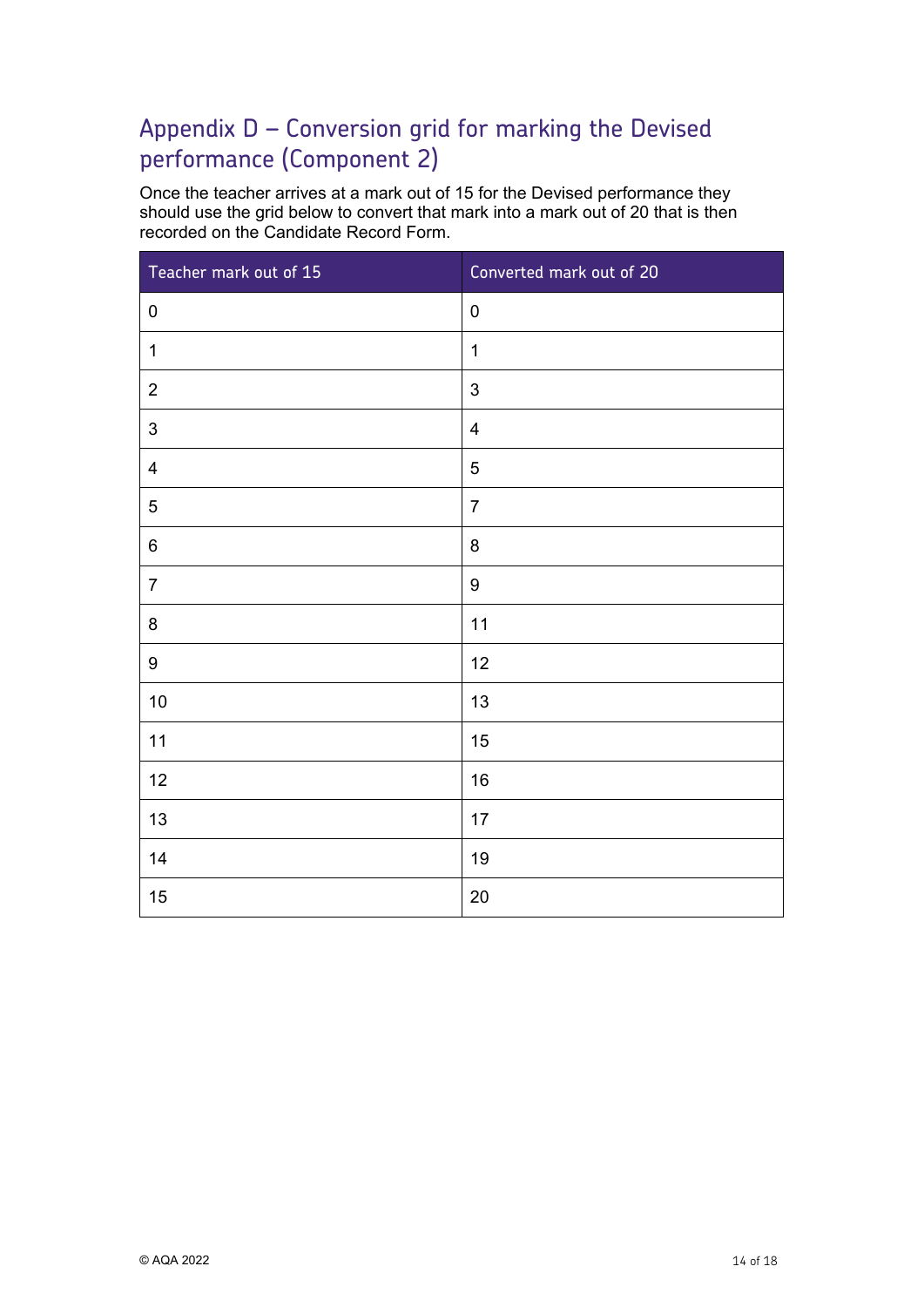## Appendix D – Conversion grid for marking the Devised performance (Component 2)

Once the teacher arrives at a mark out of 15 for the Devised performance they should use the grid below to convert that mark into a mark out of 20 that is then recorded on the Candidate Record Form.

| Teacher mark out of 15    | Converted mark out of 20 |
|---------------------------|--------------------------|
| $\pmb{0}$                 | $\pmb{0}$                |
| $\mathbf 1$               | $\mathbf{1}$             |
| $\overline{2}$            | $\mathbf{3}$             |
| $\ensuremath{\mathsf{3}}$ | $\overline{\mathbf{4}}$  |
| $\overline{4}$            | $\sqrt{5}$               |
| $\mathbf 5$               | $\overline{7}$           |
| $\,6\,$                   | $\bf 8$                  |
| $\overline{7}$            | $\boldsymbol{9}$         |
| $\bf 8$                   | 11                       |
| $\boldsymbol{9}$          | 12                       |
| 10                        | 13                       |
| 11                        | 15                       |
| 12                        | 16                       |
| 13                        | 17                       |
| 14                        | 19                       |
| 15                        | 20                       |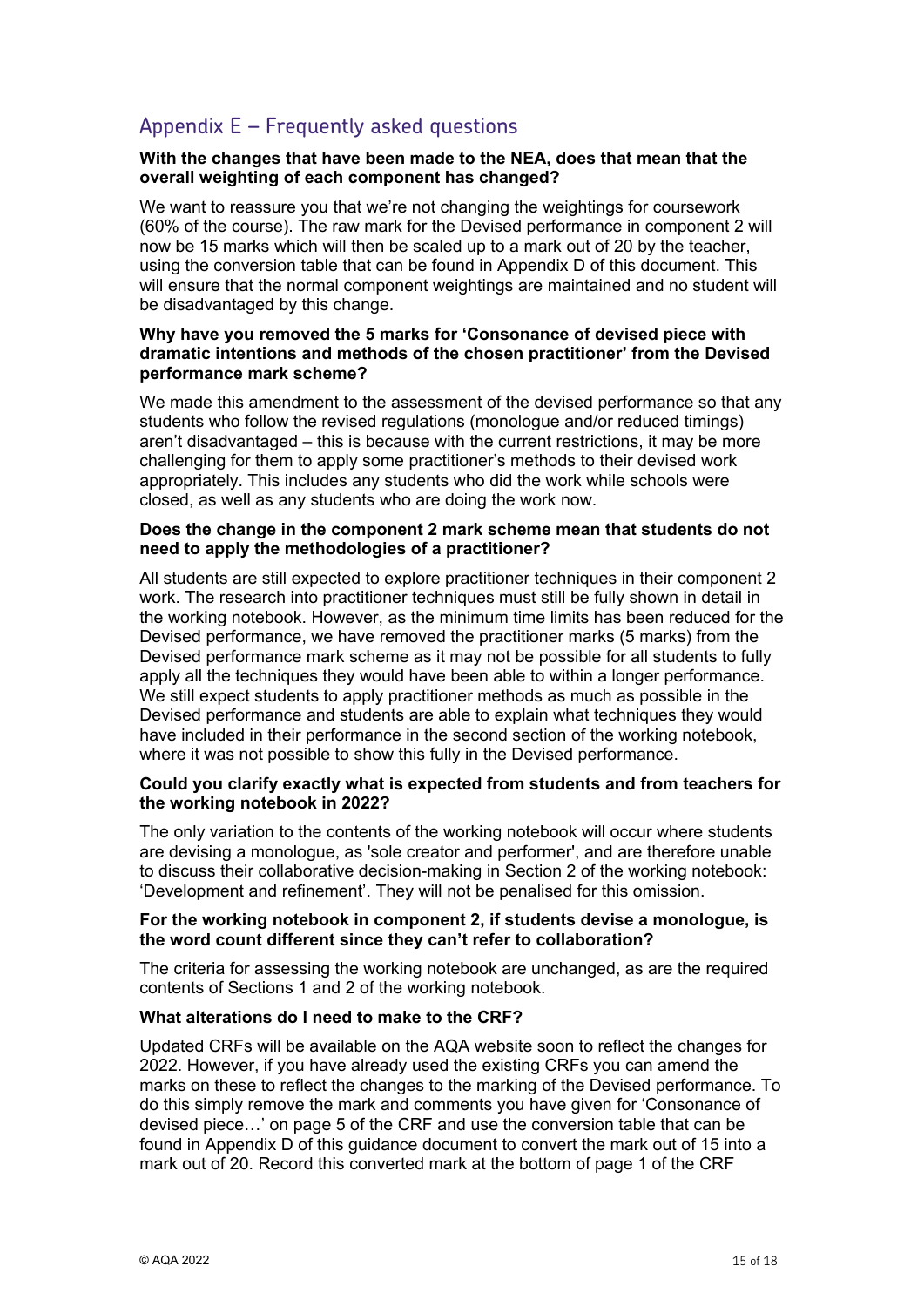### Appendix E – Frequently asked questions

#### **With the changes that have been made to the NEA, does that mean that the overall weighting of each component has changed?**

We want to reassure you that we're not changing the weightings for coursework (60% of the course). The raw mark for the Devised performance in component 2 will now be 15 marks which will then be scaled up to a mark out of 20 by the teacher, using the conversion table that can be found in Appendix D of this document. This will ensure that the normal component weightings are maintained and no student will be disadvantaged by this change.

#### **Why have you removed the 5 marks for 'Consonance of devised piece with dramatic intentions and methods of the chosen practitioner' from the Devised performance mark scheme?**

We made this amendment to the assessment of the devised performance so that any students who follow the revised regulations (monologue and/or reduced timings) aren't disadvantaged – this is because with the current restrictions, it may be more challenging for them to apply some practitioner's methods to their devised work appropriately. This includes any students who did the work while schools were closed, as well as any students who are doing the work now.

#### **Does the change in the component 2 mark scheme mean that students do not need to apply the methodologies of a practitioner?**

All students are still expected to explore practitioner techniques in their component 2 work. The research into practitioner techniques must still be fully shown in detail in the working notebook. However, as the minimum time limits has been reduced for the Devised performance, we have removed the practitioner marks (5 marks) from the Devised performance mark scheme as it may not be possible for all students to fully apply all the techniques they would have been able to within a longer performance. We still expect students to apply practitioner methods as much as possible in the Devised performance and students are able to explain what techniques they would have included in their performance in the second section of the working notebook, where it was not possible to show this fully in the Devised performance.

#### **Could you clarify exactly what is expected from students and from teachers for the working notebook in 2022?**

The only variation to the contents of the working notebook will occur where students are devising a monologue, as 'sole creator and performer', and are therefore unable to discuss their collaborative decision-making in Section 2 of the working notebook: 'Development and refinement'. They will not be penalised for this omission.

#### **For the working notebook in component 2, if students devise a monologue, is the word count different since they can't refer to collaboration?**

The criteria for assessing the working notebook are unchanged, as are the required contents of Sections 1 and 2 of the working notebook.

#### **What alterations do I need to make to the CRF?**

Updated CRFs will be available on the AQA website soon to reflect the changes for 2022. However, if you have already used the existing CRFs you can amend the marks on these to reflect the changes to the marking of the Devised performance. To do this simply remove the mark and comments you have given for 'Consonance of devised piece…' on page 5 of the CRF and use the conversion table that can be found in Appendix D of this guidance document to convert the mark out of 15 into a mark out of 20. Record this converted mark at the bottom of page 1 of the CRF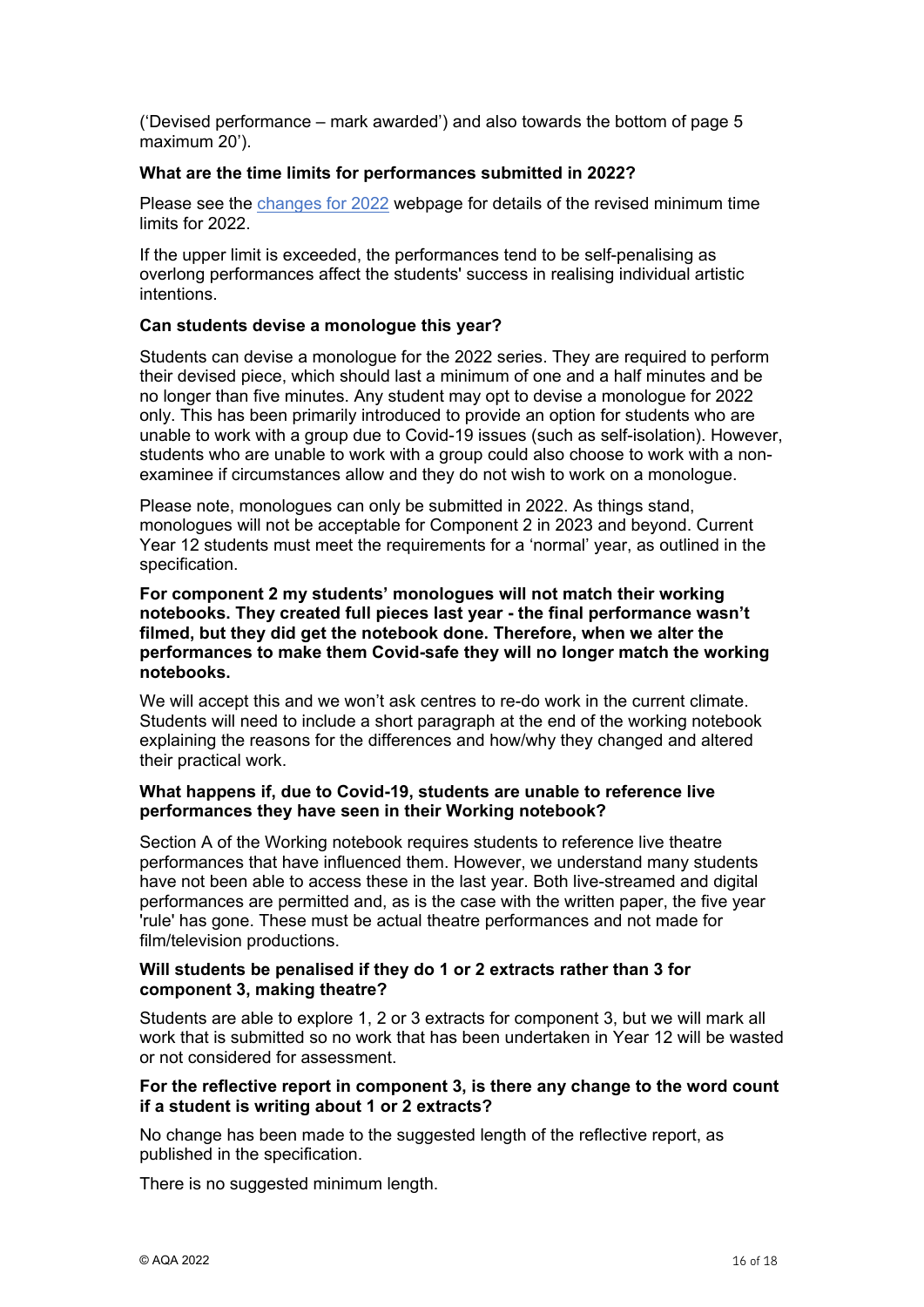('Devised performance – mark awarded') and also towards the bottom of page 5 maximum 20').

#### **What are the time limits for performances submitted in 2022?**

Please see the [changes for 2022](https://www.aqa.org.uk/subjects/drama/a-level/drama-and-theatre-7262/changes-for-2022) webpage for details of the revised minimum time limits for 2022.

If the upper limit is exceeded, the performances tend to be self-penalising as overlong performances affect the students' success in realising individual artistic intentions.

#### **Can students devise a monologue this year?**

Students can devise a monologue for the 2022 series. They are required to perform their devised piece, which should last a minimum of one and a half minutes and be no longer than five minutes. Any student may opt to devise a monologue for 2022 only. This has been primarily introduced to provide an option for students who are unable to work with a group due to Covid-19 issues (such as self-isolation). However, students who are unable to work with a group could also choose to work with a nonexaminee if circumstances allow and they do not wish to work on a monologue.

Please note, monologues can only be submitted in 2022. As things stand, monologues will not be acceptable for Component 2 in 2023 and beyond. Current Year 12 students must meet the requirements for a 'normal' year, as outlined in the specification.

**For component 2 my students' monologues will not match their working notebooks. They created full pieces last year - the final performance wasn't filmed, but they did get the notebook done. Therefore, when we alter the performances to make them Covid-safe they will no longer match the working notebooks.** 

We will accept this and we won't ask centres to re-do work in the current climate. Students will need to include a short paragraph at the end of the working notebook explaining the reasons for the differences and how/why they changed and altered their practical work.

#### **What happens if, due to Covid-19, students are unable to reference live performances they have seen in their Working notebook?**

Section A of the Working notebook requires students to reference live theatre performances that have influenced them. However, we understand many students have not been able to access these in the last year. Both live-streamed and digital performances are permitted and, as is the case with the written paper, the five year 'rule' has gone. These must be actual theatre performances and not made for film/television productions.

#### **Will students be penalised if they do 1 or 2 extracts rather than 3 for component 3, making theatre?**

Students are able to explore 1, 2 or 3 extracts for component 3, but we will mark all work that is submitted so no work that has been undertaken in Year 12 will be wasted or not considered for assessment.

#### **For the reflective report in component 3, is there any change to the word count if a student is writing about 1 or 2 extracts?**

No change has been made to the suggested length of the reflective report, as published in the specification.

There is no suggested minimum length.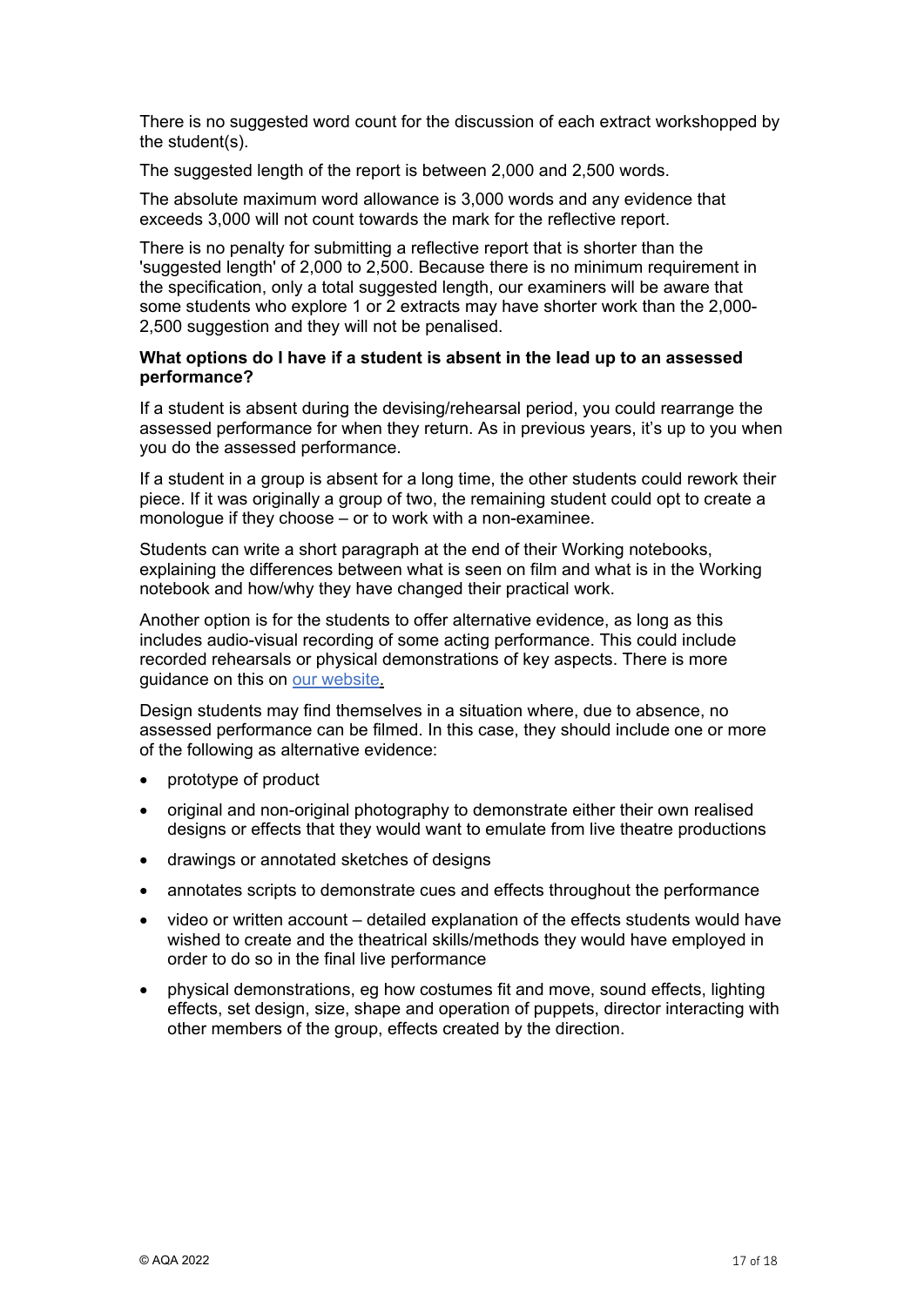There is no suggested word count for the discussion of each extract workshopped by the student(s).

The suggested length of the report is between 2,000 and 2,500 words.

The absolute maximum word allowance is 3,000 words and any evidence that exceeds 3,000 will not count towards the mark for the reflective report.

There is no penalty for submitting a reflective report that is shorter than the 'suggested length' of 2,000 to 2,500. Because there is no minimum requirement in the specification, only a total suggested length, our examiners will be aware that some students who explore 1 or 2 extracts may have shorter work than the 2,000- 2,500 suggestion and they will not be penalised.

#### **What options do I have if a student is absent in the lead up to an assessed performance?**

If a student is absent during the devising/rehearsal period, you could rearrange the assessed performance for when they return. As in previous years, it's up to you when you do the assessed performance.

If a student in a group is absent for a long time, the other students could rework their piece. If it was originally a group of two, the remaining student could opt to create a monologue if they choose – or to work with a non-examinee.

Students can write a short paragraph at the end of their Working notebooks, explaining the differences between what is seen on film and what is in the Working notebook and how/why they have changed their practical work.

Another option is for the students to offer alternative evidence, as long as this includes audio-visual recording of some acting performance. This could include recorded rehearsals or physical demonstrations of key aspects. There is more guidance on this on [our website.](https://www.aqa.org.uk/subjects/drama/a-level/drama-and-theatre-7262/assessment-resources?f.Resource+type%7C6=Notes+and+guidance)

Design students may find themselves in a situation where, due to absence, no assessed performance can be filmed. In this case, they should include one or more of the following as alternative evidence:

- prototype of product
- original and non-original photography to demonstrate either their own realised designs or effects that they would want to emulate from live theatre productions
- drawings or annotated sketches of designs
- annotates scripts to demonstrate cues and effects throughout the performance
- video or written account detailed explanation of the effects students would have wished to create and the theatrical skills/methods they would have employed in order to do so in the final live performance
- physical demonstrations, eg how costumes fit and move, sound effects, lighting effects, set design, size, shape and operation of puppets, director interacting with other members of the group, effects created by the direction.